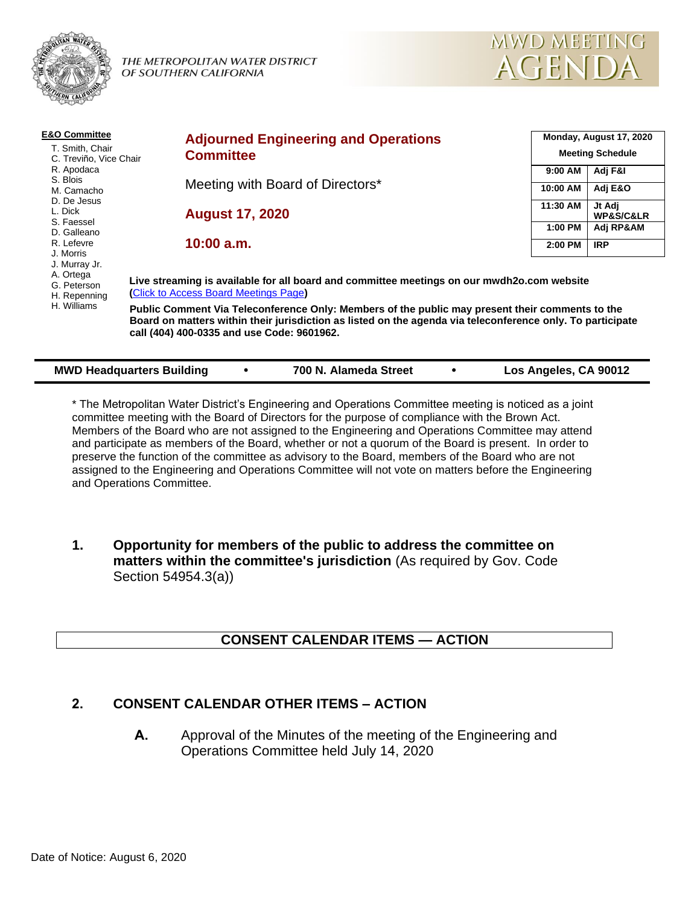

THE METROPOLITAN WATER DISTRICT OF SOUTHERN CALIFORNIA



| <b>E&amp;O Committee</b>                                                                            | <b>Adjourned Engineering and Operations</b>                                                                                                                                                                                                                 |          | Monday, August 17, 2020<br><b>Meeting Schedule</b> |  |  |  |
|-----------------------------------------------------------------------------------------------------|-------------------------------------------------------------------------------------------------------------------------------------------------------------------------------------------------------------------------------------------------------------|----------|----------------------------------------------------|--|--|--|
| T. Smith, Chair<br>C. Treviño, Vice Chair                                                           | <b>Committee</b>                                                                                                                                                                                                                                            |          |                                                    |  |  |  |
| R. Apodaca                                                                                          |                                                                                                                                                                                                                                                             | 9:00 AM  | Adj F&I                                            |  |  |  |
| S. Blois<br>M. Camacho                                                                              | Meeting with Board of Directors*                                                                                                                                                                                                                            | 10:00 AM | Adj E&O                                            |  |  |  |
| D. De Jesus<br>L. Dick                                                                              | <b>August 17, 2020</b>                                                                                                                                                                                                                                      | 11:30 AM | Jt Adj<br><b>WP&amp;S/C&amp;LR</b>                 |  |  |  |
| S. Faessel<br>D. Galleano                                                                           |                                                                                                                                                                                                                                                             | 1:00 PM  | Adj RP&AM                                          |  |  |  |
| R. Lefevre<br>J. Morris<br>J. Murray Jr.<br>A. Ortega<br>G. Peterson<br>H. Repenning<br>H. Williams | $10:00$ a.m.                                                                                                                                                                                                                                                | 2:00 PM  | <b>IRP</b>                                         |  |  |  |
|                                                                                                     | Live streaming is available for all board and committee meetings on our mwdh2o.com website<br>(Click to Access Board Meetings Page)                                                                                                                         |          |                                                    |  |  |  |
|                                                                                                     | Public Comment Via Teleconference Only: Members of the public may present their comments to the<br>Board on matters within their jurisdiction as listed on the agenda via teleconference only. To participate<br>call (404) 400-0335 and use Code: 9601962. |          |                                                    |  |  |  |
|                                                                                                     |                                                                                                                                                                                                                                                             |          |                                                    |  |  |  |

| <b>MWD Headquarters Building</b> |  | 700 N. Alameda Street |  | Los Angeles, CA 90012 |
|----------------------------------|--|-----------------------|--|-----------------------|
|----------------------------------|--|-----------------------|--|-----------------------|

\* The Metropolitan Water District's Engineering and Operations Committee meeting is noticed as a joint committee meeting with the Board of Directors for the purpose of compliance with the Brown Act. Members of the Board who are not assigned to the Engineering and Operations Committee may attend and participate as members of the Board, whether or not a quorum of the Board is present. In order to preserve the function of the committee as advisory to the Board, members of the Board who are not assigned to the Engineering and Operations Committee will not vote on matters before the Engineering and Operations Committee.

**1. Opportunity for members of the public to address the committee on matters within the committee's jurisdiction** (As required by Gov. Code Section 54954.3(a))

### **CONSENT CALENDAR ITEMS — ACTION**

### **2. CONSENT CALENDAR OTHER ITEMS – ACTION**

**A.** Approval of the Minutes of the meeting of the Engineering and Operations Committee held July 14, 2020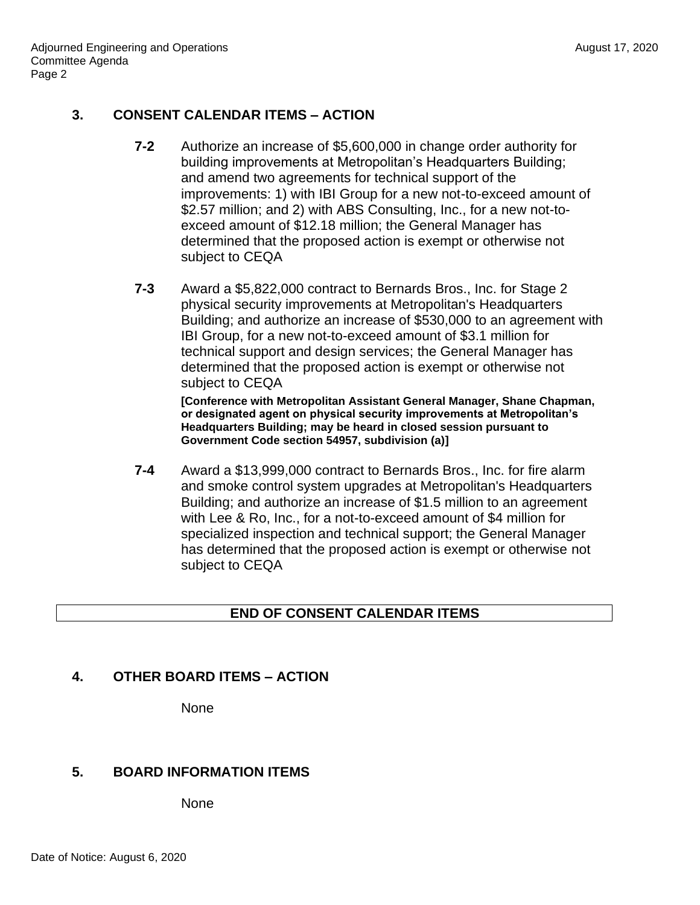# **3. CONSENT CALENDAR ITEMS – ACTION**

- **7-2** Authorize an increase of \$5,600,000 in change order authority for building improvements at Metropolitan's Headquarters Building; and amend two agreements for technical support of the improvements: 1) with IBI Group for a new not-to-exceed amount of \$2.57 million; and 2) with ABS Consulting, Inc., for a new not-toexceed amount of \$12.18 million; the General Manager has determined that the proposed action is exempt or otherwise not subject to CEQA
- **7-3** Award a \$5,822,000 contract to Bernards Bros., Inc. for Stage 2 physical security improvements at Metropolitan's Headquarters Building; and authorize an increase of \$530,000 to an agreement with IBI Group, for a new not-to-exceed amount of \$3.1 million for technical support and design services; the General Manager has determined that the proposed action is exempt or otherwise not subject to CEQA

**[Conference with Metropolitan Assistant General Manager, Shane Chapman, or designated agent on physical security improvements at Metropolitan's Headquarters Building; may be heard in closed session pursuant to Government Code section 54957, subdivision (a)]**

**7-4** Award a \$13,999,000 contract to Bernards Bros., Inc. for fire alarm and smoke control system upgrades at Metropolitan's Headquarters Building; and authorize an increase of \$1.5 million to an agreement with Lee & Ro, Inc., for a not-to-exceed amount of \$4 million for specialized inspection and technical support; the General Manager has determined that the proposed action is exempt or otherwise not subject to CEQA

### **END OF CONSENT CALENDAR ITEMS**

### **4. OTHER BOARD ITEMS – ACTION**

None

### **5. BOARD INFORMATION ITEMS**

None